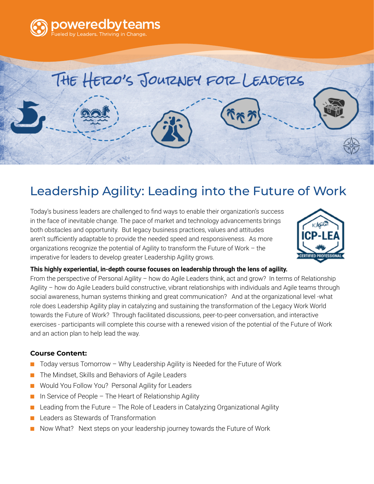

# Leadership Agility: Leading into the Future of Work

THE HERO'S JOURNEY FOR LEADERS

Today's business leaders are challenged to find ways to enable their organization's success in the face of inevitable change. The pace of market and technology advancements brings both obstacles and opportunity. But legacy business practices, values and attitudes aren't sufficiently adaptable to provide the needed speed and responsiveness. As more organizations recognize the potential of Agility to transform the Future of Work – the imperative for leaders to develop greater Leadership Agility grows.



#### **This highly experiential, in-depth course focuses on leadership through the lens of agility.**

From the perspective of Personal Agility – how do Agile Leaders think, act and grow? In terms of Relationship Agility – how do Agile Leaders build constructive, vibrant relationships with individuals and Agile teams through social awareness, human systems thinking and great communication? And at the organizational level -what role does Leadership Agility play in catalyzing and sustaining the transformation of the Legacy Work World towards the Future of Work? Through facilitated discussions, peer-to-peer conversation, and interactive exercises - participants will complete this course with a renewed vision of the potential of the Future of Work and an action plan to help lead the way.

### **Course Content:**

- Today versus Tomorrow Why Leadership Agility is Needed for the Future of Work
- The Mindset, Skills and Behaviors of Agile Leaders
- Would You Follow You? Personal Agility for Leaders
- In Service of People The Heart of Relationship Agility
- Leading from the Future  $-$  The Role of Leaders in Catalyzing Organizational Agility
- Leaders as Stewards of Transformation
- Now What? Next steps on your leadership journey towards the Future of Work